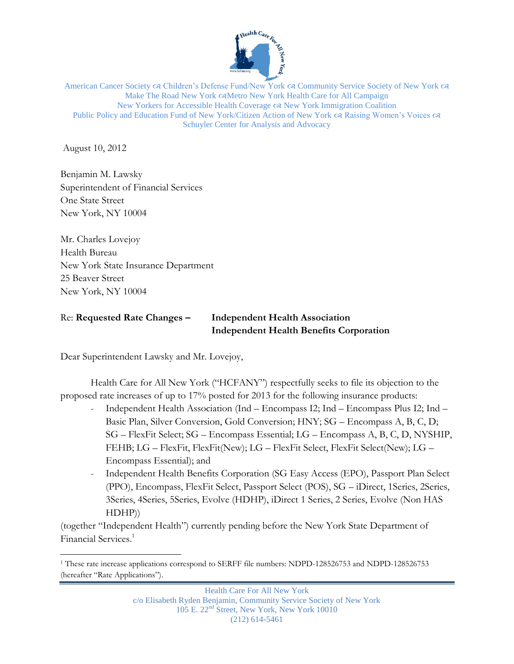

American Cancer Society  $\alpha$  Children's Defense Fund/New York  $\alpha$  Community Service Society of New York  $\alpha$ Make The Road New York & Metro New York Health Care for All Campaign New Yorkers for Accessible Health Coverage  $\infty$  New York Immigration Coalition Public Policy and Education Fund of New York/Citizen Action of New York  $\alpha$  Raising Women's Voices  $\alpha$ Schuyler Center for Analysis and Advocacy

August 10, 2012

 $\overline{a}$ 

Benjamin M. Lawsky Superintendent of Financial Services One State Street New York, NY 10004

Mr. Charles Lovejoy Health Bureau New York State Insurance Department 25 Beaver Street New York, NY 10004

# Re: **Requested Rate Changes – Independent Health Association Independent Health Benefits Corporation**

Dear Superintendent Lawsky and Mr. Lovejoy,

Health Care for All New York ("HCFANY") respectfully seeks to file its objection to the proposed rate increases of up to 17% posted for 2013 for the following insurance products:

- Independent Health Association (Ind Encompass I2; Ind Encompass Plus I2; Ind Basic Plan, Silver Conversion, Gold Conversion; HNY; SG – Encompass A, B, C, D; SG – FlexFit Select; SG – Encompass Essential; LG – Encompass A, B, C, D, NYSHIP, FEHB; LG – FlexFit, FlexFit(New); LG – FlexFit Select, FlexFit Select(New); LG – Encompass Essential); and
- Independent Health Benefits Corporation (SG Easy Access (EPO), Passport Plan Select (PPO), Encompass, FlexFit Select, Passport Select (POS), SG – iDirect, 1Series, 2Series, 3Series, 4Series, 5Series, Evolve (HDHP), iDirect 1 Series, 2 Series, Evolve (Non HAS HDHP))

(together "Independent Health") currently pending before the New York State Department of Financial Services. 1

<sup>1</sup> These rate increase applications correspond to SERFF file numbers: NDPD-128526753 and NDPD-128526753 (hereafter "Rate Applications").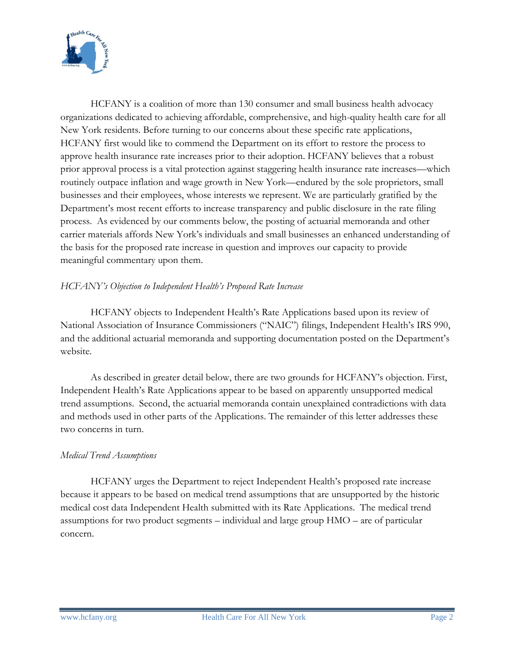

HCFANY is a coalition of more than 130 consumer and small business health advocacy organizations dedicated to achieving affordable, comprehensive, and high-quality health care for all New York residents. Before turning to our concerns about these specific rate applications, HCFANY first would like to commend the Department on its effort to restore the process to approve health insurance rate increases prior to their adoption. HCFANY believes that a robust prior approval process is a vital protection against staggering health insurance rate increases—which routinely outpace inflation and wage growth in New York—endured by the sole proprietors, small businesses and their employees, whose interests we represent. We are particularly gratified by the Department's most recent efforts to increase transparency and public disclosure in the rate filing process. As evidenced by our comments below, the posting of actuarial memoranda and other carrier materials affords New York's individuals and small businesses an enhanced understanding of the basis for the proposed rate increase in question and improves our capacity to provide meaningful commentary upon them.

# *HCFANY's Objection to Independent Health's Proposed Rate Increase*

HCFANY objects to Independent Health's Rate Applications based upon its review of National Association of Insurance Commissioners ("NAIC") filings, Independent Health's IRS 990, and the additional actuarial memoranda and supporting documentation posted on the Department's website.

As described in greater detail below, there are two grounds for HCFANY's objection. First, Independent Health's Rate Applications appear to be based on apparently unsupported medical trend assumptions. Second, the actuarial memoranda contain unexplained contradictions with data and methods used in other parts of the Applications. The remainder of this letter addresses these two concerns in turn.

### *Medical Trend Assumptions*

HCFANY urges the Department to reject Independent Health's proposed rate increase because it appears to be based on medical trend assumptions that are unsupported by the historic medical cost data Independent Health submitted with its Rate Applications. The medical trend assumptions for two product segments – individual and large group HMO – are of particular concern.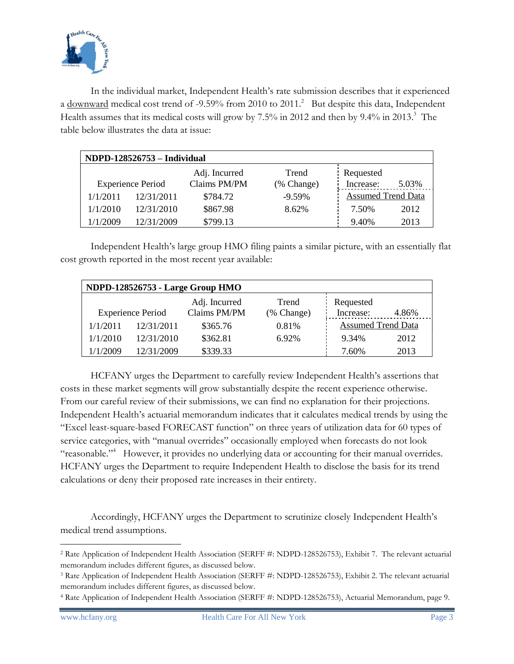

In the individual market, Independent Health's rate submission describes that it experienced a downward medical cost trend of -9.59% from 2010 to 2011.<sup>2</sup> But despite this data, Independent Health assumes that its medical costs will grow by 7.5% in 2012 and then by 9.4% in 2013.<sup>3</sup> The table below illustrates the data at issue:

| NDPD-128526753 - Individual |                          |                               |                     |                        |                           |  |  |  |  |
|-----------------------------|--------------------------|-------------------------------|---------------------|------------------------|---------------------------|--|--|--|--|
|                             | <b>Experience Period</b> | Adj. Incurred<br>Claims PM/PM | Trend<br>(% Change) | Requested<br>Increase: | 5.03%                     |  |  |  |  |
| 1/1/2011                    | 12/31/2011               | \$784.72                      | $-9.59\%$           |                        | <b>Assumed Trend Data</b> |  |  |  |  |
| 1/1/2010                    | 12/31/2010               | \$867.98                      | 8.62%               | 7.50%                  | 2012                      |  |  |  |  |
| 1/1/2009                    | 12/31/2009               | \$799.13                      |                     | 9.40%                  | 2013                      |  |  |  |  |

Independent Health's large group HMO filing paints a similar picture, with an essentially flat cost growth reported in the most recent year available:

| NDPD-128526753 - Large Group HMO |            |               |            |                           |       |  |  |  |  |
|----------------------------------|------------|---------------|------------|---------------------------|-------|--|--|--|--|
|                                  |            | Adj. Incurred | Trend      | Requested                 |       |  |  |  |  |
| <b>Experience Period</b>         |            | Claims PM/PM  | (% Change) | Increase:                 | 4.86% |  |  |  |  |
| 1/1/2011                         | 12/31/2011 | \$365.76      | 0.81%      | <b>Assumed Trend Data</b> |       |  |  |  |  |
| 1/1/2010                         | 12/31/2010 | \$362.81      | 6.92%      | 9.34%                     | 2012  |  |  |  |  |
| 1/1/2009                         | 12/31/2009 | \$339.33      |            | 7.60%                     | 2013  |  |  |  |  |

HCFANY urges the Department to carefully review Independent Health's assertions that costs in these market segments will grow substantially despite the recent experience otherwise. From our careful review of their submissions, we can find no explanation for their projections. Independent Health's actuarial memorandum indicates that it calculates medical trends by using the "Excel least-square-based FORECAST function" on three years of utilization data for 60 types of service categories, with "manual overrides" occasionally employed when forecasts do not look "reasonable."<sup>4</sup> However, it provides no underlying data or accounting for their manual overrides. HCFANY urges the Department to require Independent Health to disclose the basis for its trend calculations or deny their proposed rate increases in their entirety.

Accordingly, HCFANY urges the Department to scrutinize closely Independent Health's medical trend assumptions.

 $\overline{a}$ <sup>2</sup> Rate Application of Independent Health Association (SERFF #: NDPD-128526753), Exhibit 7. The relevant actuarial memorandum includes different figures, as discussed below.

<sup>3</sup> Rate Application of Independent Health Association (SERFF #: NDPD-128526753), Exhibit 2. The relevant actuarial memorandum includes different figures, as discussed below.

<sup>4</sup> Rate Application of Independent Health Association (SERFF #: NDPD-128526753), Actuarial Memorandum, page 9.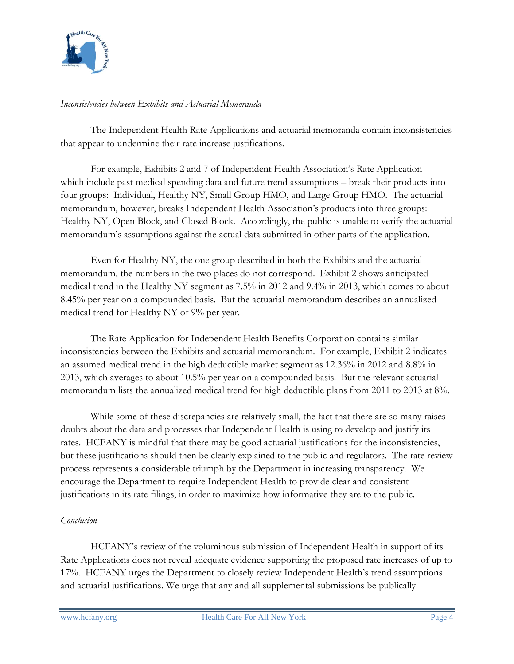

## *Inconsistencies between Exhibits and Actuarial Memoranda*

The Independent Health Rate Applications and actuarial memoranda contain inconsistencies that appear to undermine their rate increase justifications.

For example, Exhibits 2 and 7 of Independent Health Association's Rate Application – which include past medical spending data and future trend assumptions – break their products into four groups: Individual, Healthy NY, Small Group HMO, and Large Group HMO. The actuarial memorandum, however, breaks Independent Health Association's products into three groups: Healthy NY, Open Block, and Closed Block. Accordingly, the public is unable to verify the actuarial memorandum's assumptions against the actual data submitted in other parts of the application.

Even for Healthy NY, the one group described in both the Exhibits and the actuarial memorandum, the numbers in the two places do not correspond. Exhibit 2 shows anticipated medical trend in the Healthy NY segment as 7.5% in 2012 and 9.4% in 2013, which comes to about 8.45% per year on a compounded basis. But the actuarial memorandum describes an annualized medical trend for Healthy NY of 9% per year.

The Rate Application for Independent Health Benefits Corporation contains similar inconsistencies between the Exhibits and actuarial memorandum. For example, Exhibit 2 indicates an assumed medical trend in the high deductible market segment as 12.36% in 2012 and 8.8% in 2013, which averages to about 10.5% per year on a compounded basis. But the relevant actuarial memorandum lists the annualized medical trend for high deductible plans from 2011 to 2013 at 8%.

While some of these discrepancies are relatively small, the fact that there are so many raises doubts about the data and processes that Independent Health is using to develop and justify its rates. HCFANY is mindful that there may be good actuarial justifications for the inconsistencies, but these justifications should then be clearly explained to the public and regulators. The rate review process represents a considerable triumph by the Department in increasing transparency. We encourage the Department to require Independent Health to provide clear and consistent justifications in its rate filings, in order to maximize how informative they are to the public.

# *Conclusion*

HCFANY's review of the voluminous submission of Independent Health in support of its Rate Applications does not reveal adequate evidence supporting the proposed rate increases of up to 17%. HCFANY urges the Department to closely review Independent Health's trend assumptions and actuarial justifications. We urge that any and all supplemental submissions be publically